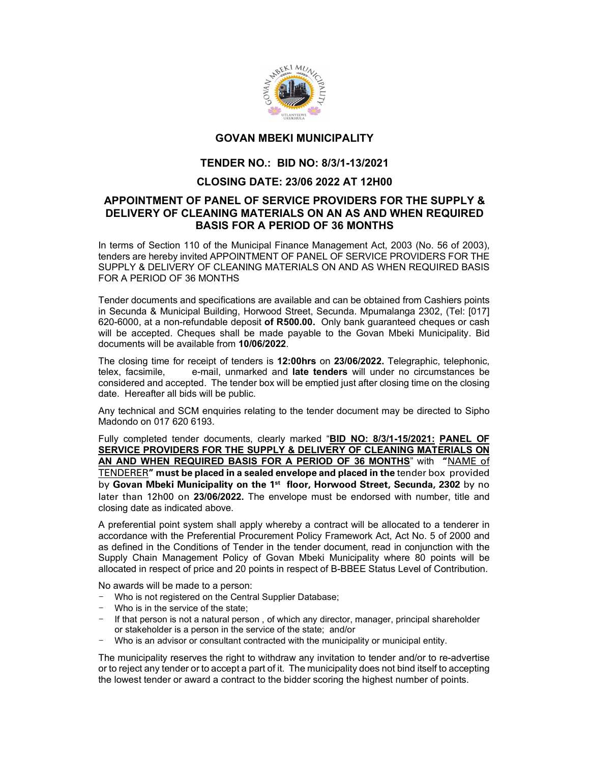

# GOVAN MBEKI MUNICIPALITY

## TENDER NO.: BID NO: 8/3/1-13/2021

### CLOSING DATE: 23/06 2022 AT 12H00

#### APPOINTMENT OF PANEL OF SERVICE PROVIDERS FOR THE SUPPLY & DELIVERY OF CLEANING MATERIALS ON AN AS AND WHEN REQUIRED BASIS FOR A PERIOD OF 36 MONTHS

In terms of Section 110 of the Municipal Finance Management Act, 2003 (No. 56 of 2003), tenders are hereby invited APPOINTMENT OF PANEL OF SERVICE PROVIDERS FOR THE SUPPLY & DELIVERY OF CLEANING MATERIALS ON AND AS WHEN REQUIRED BASIS FOR A PERIOD OF 36 MONTHS

Tender documents and specifications are available and can be obtained from Cashiers points in Secunda & Municipal Building, Horwood Street, Secunda. Mpumalanga 2302, (Tel: [017] 620-6000, at a non-refundable deposit of R500.00. Only bank guaranteed cheques or cash will be accepted. Cheques shall be made payable to the Govan Mbeki Municipality. Bid<br>documents will be available from 10/06/2022.

The closing time for receipt of tenders is 12:00hrs on 23/06/2022. Telegraphic, telephonic, telex, facsimile, e-mail, unmarked and late tenders will under no circumstances be considered and accepted. The tender box will be emptied just after closing time on the closing date. Hereafter all bids will be public.

Any technical and SCM enquiries relating to the tender document may be directed to Sipho Madondo on 017 620 6193.

Fully completed tender documents, clearly marked "BID NO: 8/3/1-15/2021: PANEL OF SERVICE PROVIDERS FOR THE SUPPLY & DELIVERY OF CLEANING MATERIALS ON AN AND WHEN REQUIRED BASIS FOR A PERIOD OF 36 MONTHS" with "NAME of TENDERER" must be placed in a sealed envelope and placed in the tender box provided by Govan Mbeki Municipality on the 1<sup>st</sup> floor, Horwood Street, Secunda, 2302 by no later than 12h00 on 23/06/2022. The envelope must be endorsed with number, title and closing date as indicated above.

A preferential point system shall apply whereby a contract will be allocated to a tenderer in accordance with the Preferential Procurement Policy Framework Act, Act No. 5 of 2000 and as defined in the Conditions of Tender in the tender document, read in conjunction with the Supply Chain Management Policy of Govan Mbeki Municipality where 80 points will be allocated in respect of price and 20 points in respect of B-BBEE Status Level of Contribution.

No awards will be made to a person:

- Who is not registered on the Central Supplier Database;
- Who is in the service of the state;
- If that person is not a natural person, of which any director, manager, principal shareholder or stakeholder is a person in the service of the state; and/or
- Who is an advisor or consultant contracted with the municipality or municipal entity.

The municipality reserves the right to withdraw any invitation to tender and/or to re-advertise or to reject any tender or to accept a part of it. The municipality does not bind itself to accepting the lowest tender or award a contract to the bidder scoring the highest number of points.